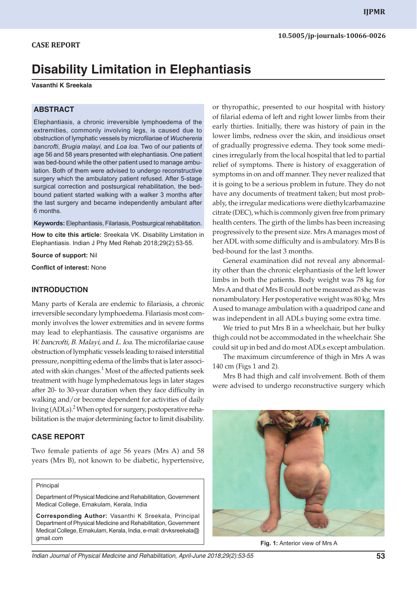# **Disability Limitation in Elephantiasis**

#### **Vasanthi K Sreekala**

## **ABSTRACT**

EIephantiasis, a chronic irreversible lymphoedema of the extremities, commonly involving legs, is caused due to obstruction of lymphatic vessels by microfilariae of *Wuchereria bancrofti*, *Brugia malayi,* and *Loa loa*. Two of our patients of age 56 and 58 years presented with elephantiasis. One patient was bed-bound while the other patient used to manage ambulation. Both of them were advised to undergo reconstructive surgery which the ambulatory patient refused. After 5-stage surgical correction and postsurgical rehabilitation, the bedbound patient started walking with a walker 3 months after the last surgery and became independently ambulant after 6 months.

**Keywords:** Elephantiasis, Filariasis, Postsurgical rehabilitation.

**How to cite this article:** Sreekala VK. Disability Limitation in Elephantiasis. Indian J Phy Med Rehab 2018;29(2):53-55.

**Source of support:** Nil

**Conflict of interest:** None

### **INTRODUCTION**

Many parts of Kerala are endemic to filariasis, a chronic irreversible secondary lymphoedema. Filariasis most commonly involves the lower extremities and in severe forms may lead to elephantiasis. The causative organisms are *W. bancrofti, B. Malayi,* and *L. loa*. The microfilariae cause obstruction of lymphatic vessels leading to raised interstitial pressure, nonpitting edema of the limbs that is later associated with skin changes. $1$  Most of the affected patients seek treatment with huge lymphedematous legs in later stages after 20- to 30-year duration when they face difficulty in walking and/or become dependent for activities of daily living (ADLs).<sup>2</sup> When opted for surgery, postoperative rehabilitation is the major determining factor to limit disability.

#### **CASE REPORT**

Two female patients of age 56 years (Mrs A) and 58 years (Mrs B), not known to be diabetic, hypertensive,

#### Principal

Department of Physical Medicine and Rehabilitation, Government Medical College, Ernakulam, Kerala, India

**Corresponding Author:** Vasanthi K Sreekala, Principal Department of Physical Medicine and Rehabilitation, Government Medical College, Ernakulam, Kerala, India, e-mail: drvksreekala@ gmail.com

or thyropathic, presented to our hospital with history of filarial edema of left and right lower limbs from their early thirties. Initially, there was history of pain in the lower limbs, redness over the skin, and insidious onset of gradually progressive edema. They took some medicines irregularly from the local hospital that led to partial relief of symptoms. There is history of exaggeration of symptoms in on and off manner. They never realized that it is going to be a serious problem in future. They do not have any documents of treatment taken; but most probably, the irregular medications were diethylcarbamazine citrate (DEC), which is commonly given free from primary health centers. The girth of the limbs has been increasing progressively to the present size. Mrs A manages most of her ADL with some difficulty and is ambulatory. Mrs B is bed-bound for the last 3 months.

General examination did not reveal any abnormality other than the chronic elephantiasis of the left lower limbs in both the patients. Body weight was 78 kg for Mrs A and that of Mrs B could not be measured as she was nonambulatory. Her postoperative weight was 80 kg. Mrs A used to manage ambulation with a quadripod cane and was independent in all ADLs buying some extra time.

We tried to put Mrs B in a wheelchair, but her bulky thigh could not be accommodated in the wheelchair. She could sit up in bed and do most ADLs except ambulation.

The maximum circumference of thigh in Mrs A was 140 cm (Figs 1 and 2).

Mrs B had thigh and calf involvement. Both of them were advised to undergo reconstructive surgery which



**Fig. 1:** Anterior view of Mrs A

*Indian Journal of Physical Medicine and Rehabilitation, April-June 2018;29(2):53-55* **53**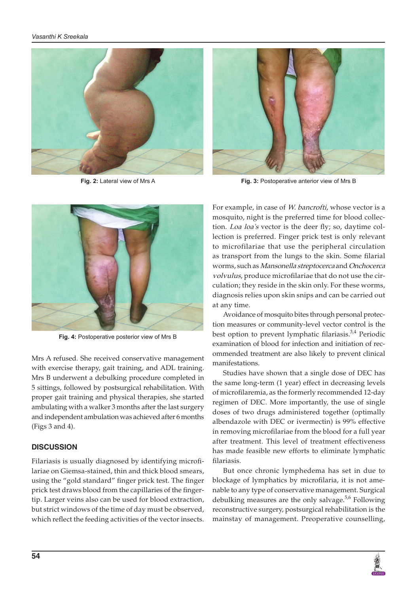



**Fig. 2:** Lateral view of Mrs A **Fig. 3:** Postoperative anterior view of Mrs B



**Fig. 4:** Postoperative posterior view of Mrs B

Mrs A refused. She received conservative management with exercise therapy, gait training, and ADL training. Mrs B underwent a debulking procedure completed in 5 sittings, followed by postsurgical rehabilitation. With proper gait training and physical therapies, she started ambulating with a walker 3 months after the last surgery and independent ambulation was achieved after 6 months (Figs 3 and 4).

## **DISCUSSION**

Filariasis is usually diagnosed by identifying microfilariae on Giemsa-stained, thin and thick blood smears, using the "gold standard" finger prick test. The finger prick test draws blood from the capillaries of the fingertip. Larger veins also can be used for blood extraction, but strict windows of the time of day must be observed, which reflect the feeding activities of the vector insects.

For example, in case of *W. bancrofti*, whose vector is a mosquito, night is the preferred time for blood collection. *Loa loa's* vector is the deer fly; so, daytime collection is preferred. Finger prick test is only relevant to microfilariae that use the peripheral circulation as transport from the lungs to the skin. Some filarial worms, such as *Mansonella streptocerca* and *Onchocerca volvulus*, produce microfilariae that do not use the circulation; they reside in the skin only. For these worms, diagnosis relies upon skin snips and can be carried out at any time.

Avoidance of mosquito bites through personal protection measures or community-level vector control is the best option to prevent lymphatic filariasis.<sup>3,4</sup> Periodic examination of blood for infection and initiation of recommended treatment are also likely to prevent clinical manifestations.

Studies have shown that a single dose of DEC has the same long-term (1 year) effect in decreasing levels of microfilaremia, as the formerly recommended 12-day regimen of DEC. More importantly, the use of single doses of two drugs administered together (optimally albendazole with DEC or ivermectin) is 99% effective in removing microfilariae from the blood for a full year after treatment. This level of treatment effectiveness has made feasible new efforts to eliminate lymphatic filariasis.

But once chronic lymphedema has set in due to blockage of lymphatics by microfilaria, it is not amenable to any type of conservative management. Surgical debulking measures are the only salvage.<sup>5,6</sup> Following reconstructive surgery, postsurgical rehabilitation is the mainstay of management. Preoperative counselling,